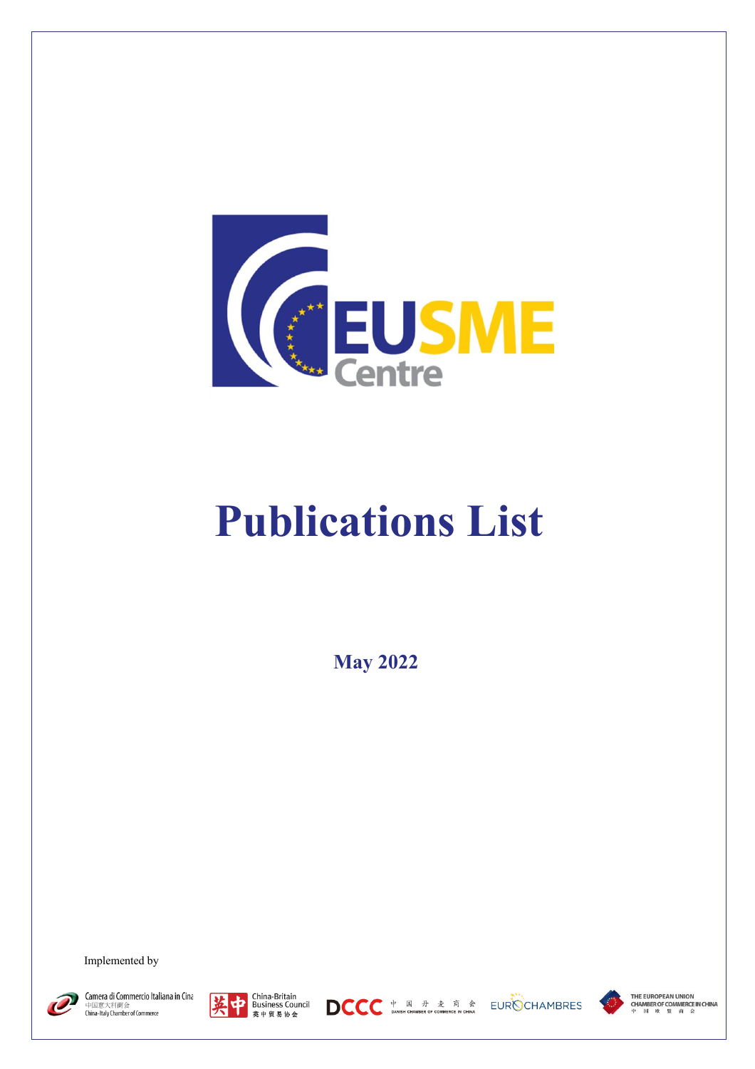

## **Publications List**

**May 2022**

Implemented by



Camera di Commercio Italiana in Cina 中国意大利商会<br>China-Italy Chamber of Commerce









THE EUROPEAN UNION **CHAMBER OF COMMERCE IN CHINA**<br>中 时 咳 盟 商 会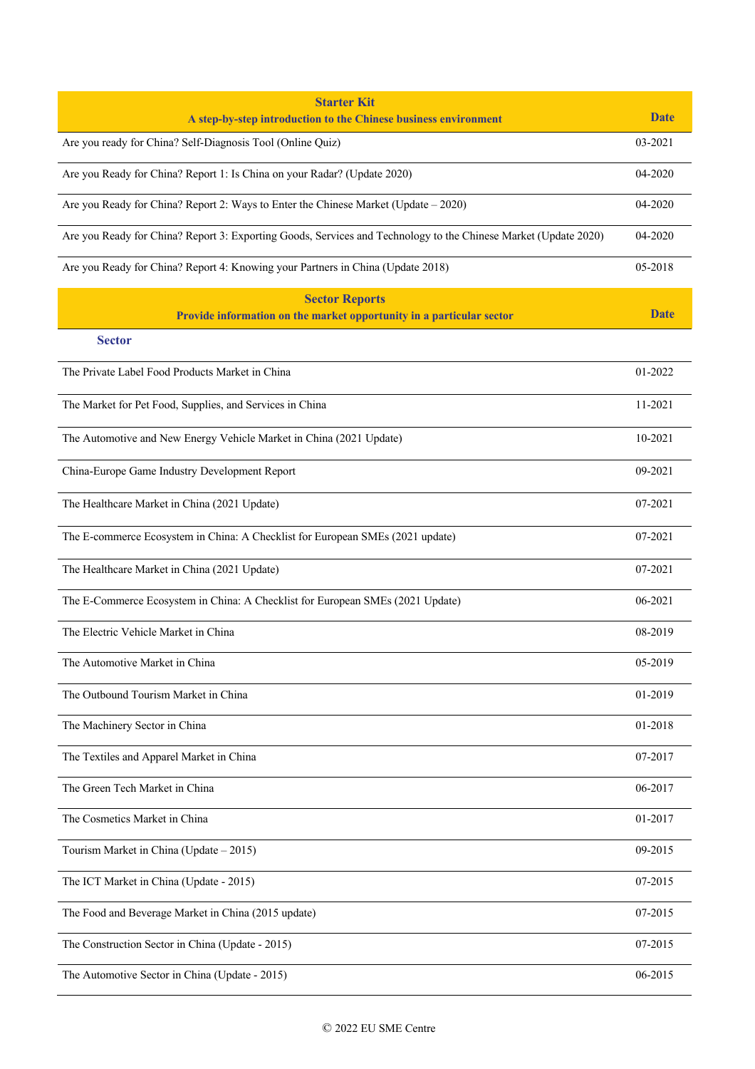| <b>Starter Kit</b><br>A step-by-step introduction to the Chinese business environment                           | <b>Date</b> |
|-----------------------------------------------------------------------------------------------------------------|-------------|
| Are you ready for China? Self-Diagnosis Tool (Online Quiz)                                                      | 03-2021     |
| Are you Ready for China? Report 1: Is China on your Radar? (Update 2020)                                        | 04-2020     |
| Are you Ready for China? Report 2: Ways to Enter the Chinese Market (Update - 2020)                             | 04-2020     |
| Are you Ready for China? Report 3: Exporting Goods, Services and Technology to the Chinese Market (Update 2020) | 04-2020     |
| Are you Ready for China? Report 4: Knowing your Partners in China (Update 2018)                                 | 05-2018     |
| <b>Sector Reports</b><br>Provide information on the market opportunity in a particular sector                   | <b>Date</b> |
| <b>Sector</b>                                                                                                   |             |
| The Private Label Food Products Market in China                                                                 | 01-2022     |
| The Market for Pet Food, Supplies, and Services in China                                                        | 11-2021     |
| The Automotive and New Energy Vehicle Market in China (2021 Update)                                             | 10-2021     |
| China-Europe Game Industry Development Report                                                                   | 09-2021     |
| The Healthcare Market in China (2021 Update)                                                                    | 07-2021     |
| The E-commerce Ecosystem in China: A Checklist for European SMEs (2021 update)                                  | 07-2021     |
| The Healthcare Market in China (2021 Update)                                                                    | 07-2021     |
| The E-Commerce Ecosystem in China: A Checklist for European SMEs (2021 Update)                                  | 06-2021     |
| The Electric Vehicle Market in China                                                                            | 08-2019     |
| The Automotive Market in China                                                                                  | 05-2019     |
| The Outbound Tourism Market in China                                                                            | 01-2019     |
| The Machinery Sector in China                                                                                   | 01-2018     |
| The Textiles and Apparel Market in China                                                                        | 07-2017     |
| The Green Tech Market in China                                                                                  | 06-2017     |
| The Cosmetics Market in China                                                                                   | 01-2017     |
| Tourism Market in China (Update - 2015)                                                                         | 09-2015     |
| The ICT Market in China (Update - 2015)                                                                         | 07-2015     |
| The Food and Beverage Market in China (2015 update)                                                             | 07-2015     |
| The Construction Sector in China (Update - 2015)                                                                | 07-2015     |
| The Automotive Sector in China (Update - 2015)                                                                  | 06-2015     |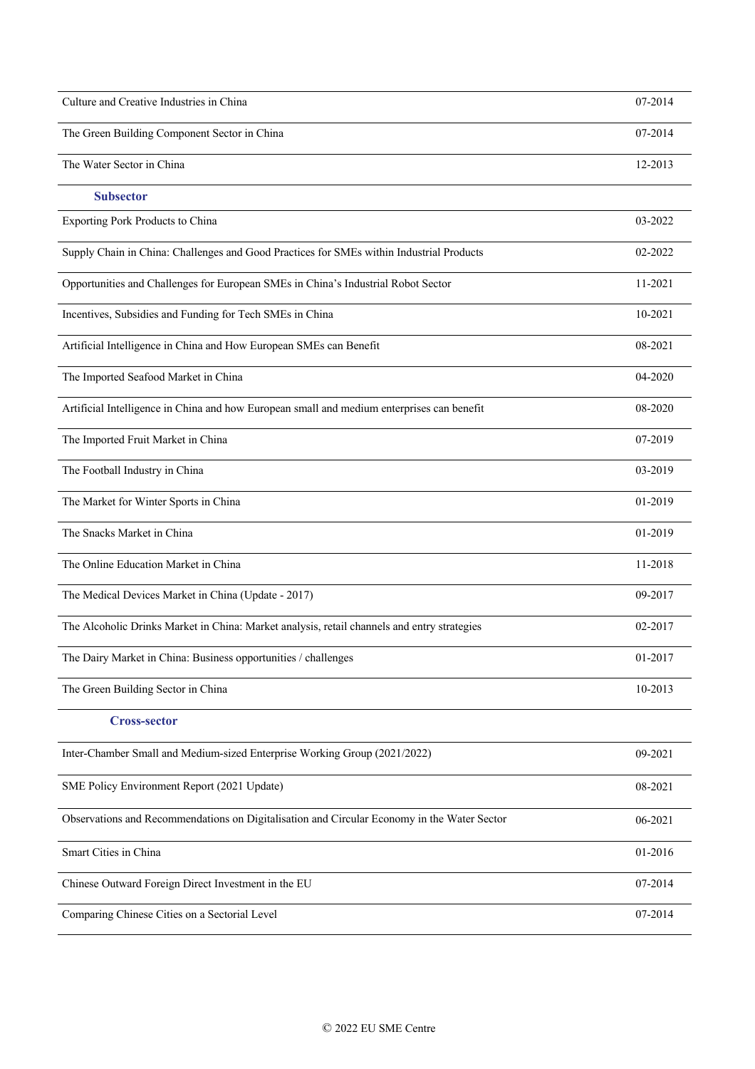| Culture and Creative Industries in China                                                    | 07-2014 |
|---------------------------------------------------------------------------------------------|---------|
| The Green Building Component Sector in China                                                | 07-2014 |
| The Water Sector in China                                                                   | 12-2013 |
| <b>Subsector</b>                                                                            |         |
| Exporting Pork Products to China                                                            | 03-2022 |
| Supply Chain in China: Challenges and Good Practices for SMEs within Industrial Products    | 02-2022 |
| Opportunities and Challenges for European SMEs in China's Industrial Robot Sector           | 11-2021 |
| Incentives, Subsidies and Funding for Tech SMEs in China                                    | 10-2021 |
| Artificial Intelligence in China and How European SMEs can Benefit                          | 08-2021 |
| The Imported Seafood Market in China                                                        | 04-2020 |
| Artificial Intelligence in China and how European small and medium enterprises can benefit  | 08-2020 |
| The Imported Fruit Market in China                                                          | 07-2019 |
| The Football Industry in China                                                              | 03-2019 |
| The Market for Winter Sports in China                                                       | 01-2019 |
| The Snacks Market in China                                                                  | 01-2019 |
| The Online Education Market in China                                                        | 11-2018 |
| The Medical Devices Market in China (Update - 2017)                                         | 09-2017 |
| The Alcoholic Drinks Market in China: Market analysis, retail channels and entry strategies | 02-2017 |
| The Dairy Market in China: Business opportunities / challenges                              | 01-2017 |
| The Green Building Sector in China                                                          | 10-2013 |
| <b>Cross-sector</b>                                                                         |         |
| Inter-Chamber Small and Medium-sized Enterprise Working Group (2021/2022)                   | 09-2021 |
| SME Policy Environment Report (2021 Update)                                                 | 08-2021 |
| Observations and Recommendations on Digitalisation and Circular Economy in the Water Sector | 06-2021 |
| Smart Cities in China                                                                       | 01-2016 |
| Chinese Outward Foreign Direct Investment in the EU                                         | 07-2014 |
| Comparing Chinese Cities on a Sectorial Level                                               | 07-2014 |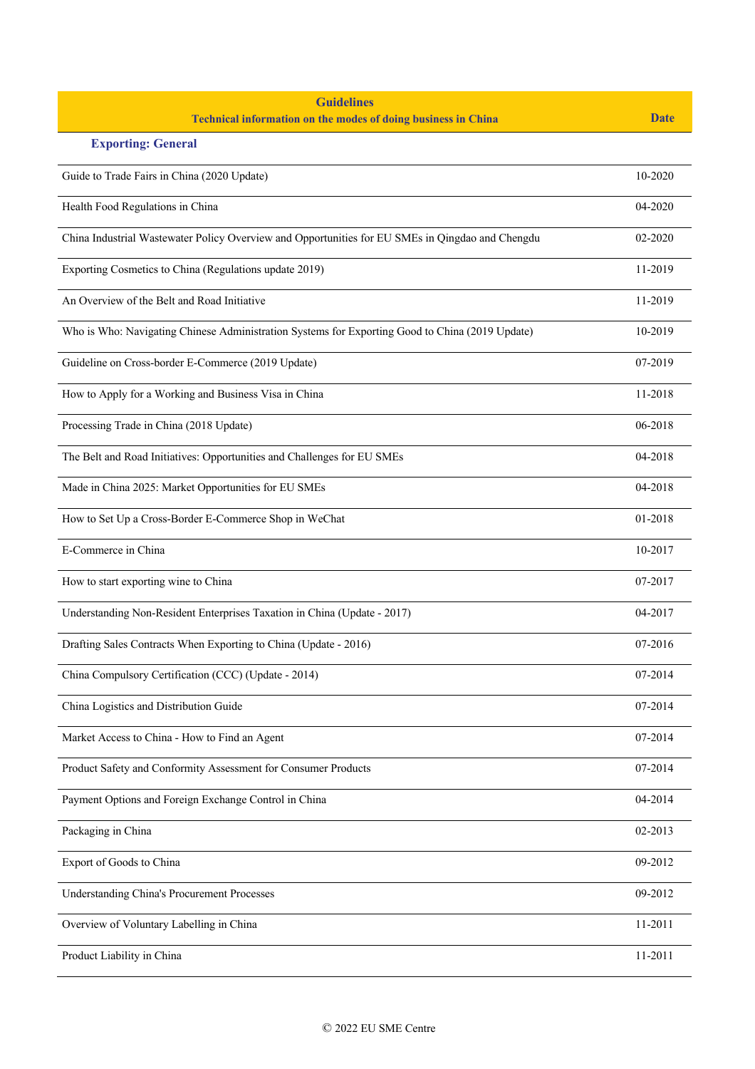| <b>Guidelines</b><br><b>Technical information on the modes of doing business in China</b>        | <b>Date</b> |
|--------------------------------------------------------------------------------------------------|-------------|
| <b>Exporting: General</b>                                                                        |             |
| Guide to Trade Fairs in China (2020 Update)                                                      | 10-2020     |
| Health Food Regulations in China                                                                 | 04-2020     |
| China Industrial Wastewater Policy Overview and Opportunities for EU SMEs in Qingdao and Chengdu | 02-2020     |
| Exporting Cosmetics to China (Regulations update 2019)                                           | 11-2019     |
| An Overview of the Belt and Road Initiative                                                      | 11-2019     |
| Who is Who: Navigating Chinese Administration Systems for Exporting Good to China (2019 Update)  | 10-2019     |
| Guideline on Cross-border E-Commerce (2019 Update)                                               | 07-2019     |
| How to Apply for a Working and Business Visa in China                                            | 11-2018     |
| Processing Trade in China (2018 Update)                                                          | 06-2018     |
| The Belt and Road Initiatives: Opportunities and Challenges for EU SMEs                          | 04-2018     |
| Made in China 2025: Market Opportunities for EU SMEs                                             | 04-2018     |
| How to Set Up a Cross-Border E-Commerce Shop in WeChat                                           | 01-2018     |
| E-Commerce in China                                                                              | 10-2017     |
| How to start exporting wine to China                                                             | 07-2017     |
| Understanding Non-Resident Enterprises Taxation in China (Update - 2017)                         | 04-2017     |
| Drafting Sales Contracts When Exporting to China (Update - 2016)                                 | 07-2016     |
| China Compulsory Certification (CCC) (Update - 2014)                                             | 07-2014     |
| China Logistics and Distribution Guide                                                           | 07-2014     |
| Market Access to China - How to Find an Agent                                                    | 07-2014     |
| Product Safety and Conformity Assessment for Consumer Products                                   | 07-2014     |
| Payment Options and Foreign Exchange Control in China                                            | 04-2014     |
| Packaging in China                                                                               | 02-2013     |
| Export of Goods to China                                                                         | 09-2012     |
| <b>Understanding China's Procurement Processes</b>                                               | 09-2012     |
| Overview of Voluntary Labelling in China                                                         | 11-2011     |
| Product Liability in China                                                                       | 11-2011     |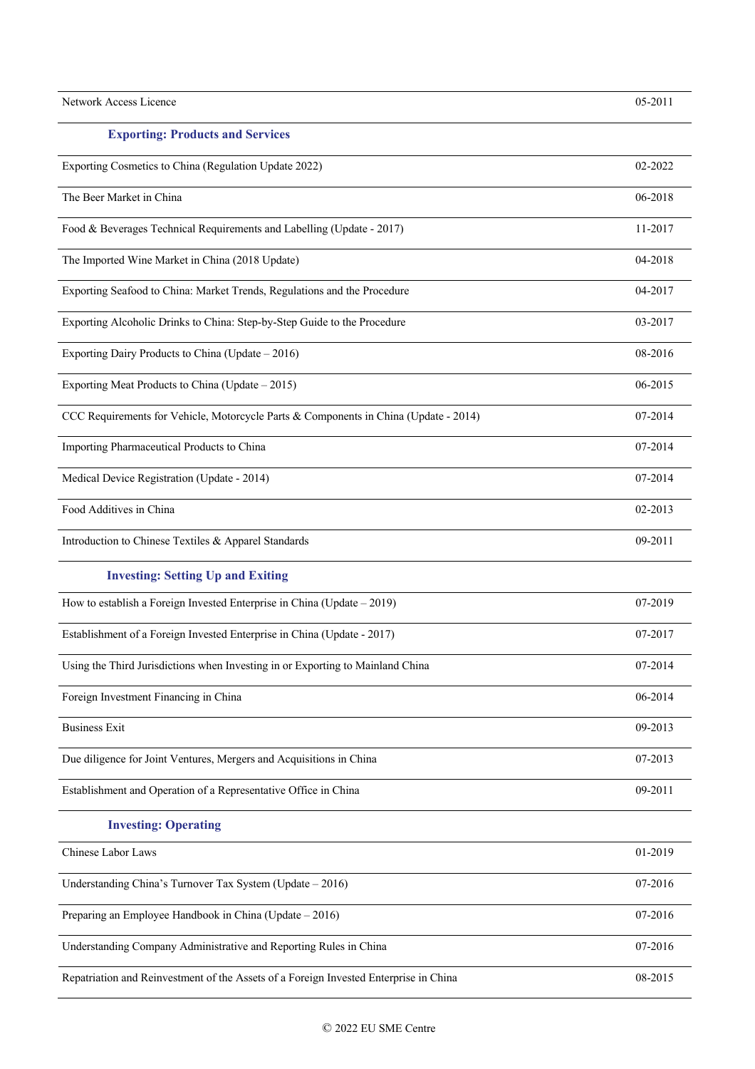| Network Access Licence                                                                | 05-2011 |
|---------------------------------------------------------------------------------------|---------|
| <b>Exporting: Products and Services</b>                                               |         |
| Exporting Cosmetics to China (Regulation Update 2022)                                 | 02-2022 |
| The Beer Market in China                                                              | 06-2018 |
| Food & Beverages Technical Requirements and Labelling (Update - 2017)                 | 11-2017 |
| The Imported Wine Market in China (2018 Update)                                       | 04-2018 |
| Exporting Seafood to China: Market Trends, Regulations and the Procedure              | 04-2017 |
| Exporting Alcoholic Drinks to China: Step-by-Step Guide to the Procedure              | 03-2017 |
| Exporting Dairy Products to China (Update – 2016)                                     | 08-2016 |
| Exporting Meat Products to China (Update - 2015)                                      | 06-2015 |
| CCC Requirements for Vehicle, Motorcycle Parts & Components in China (Update - 2014)  | 07-2014 |
| Importing Pharmaceutical Products to China                                            | 07-2014 |
| Medical Device Registration (Update - 2014)                                           | 07-2014 |
| Food Additives in China                                                               | 02-2013 |
| Introduction to Chinese Textiles & Apparel Standards                                  | 09-2011 |
| <b>Investing: Setting Up and Exiting</b>                                              |         |
| How to establish a Foreign Invested Enterprise in China (Update $-2019$ )             | 07-2019 |
| Establishment of a Foreign Invested Enterprise in China (Update - 2017)               | 07-2017 |
| Using the Third Jurisdictions when Investing in or Exporting to Mainland China        | 07-2014 |
| Foreign Investment Financing in China                                                 | 06-2014 |
| <b>Business Exit</b>                                                                  | 09-2013 |
| Due diligence for Joint Ventures, Mergers and Acquisitions in China                   | 07-2013 |
| Establishment and Operation of a Representative Office in China                       | 09-2011 |
| <b>Investing: Operating</b>                                                           |         |
| Chinese Labor Laws                                                                    | 01-2019 |
| Understanding China's Turnover Tax System (Update - 2016)                             | 07-2016 |
| Preparing an Employee Handbook in China (Update - 2016)                               | 07-2016 |
| Understanding Company Administrative and Reporting Rules in China                     | 07-2016 |
| Repatriation and Reinvestment of the Assets of a Foreign Invested Enterprise in China | 08-2015 |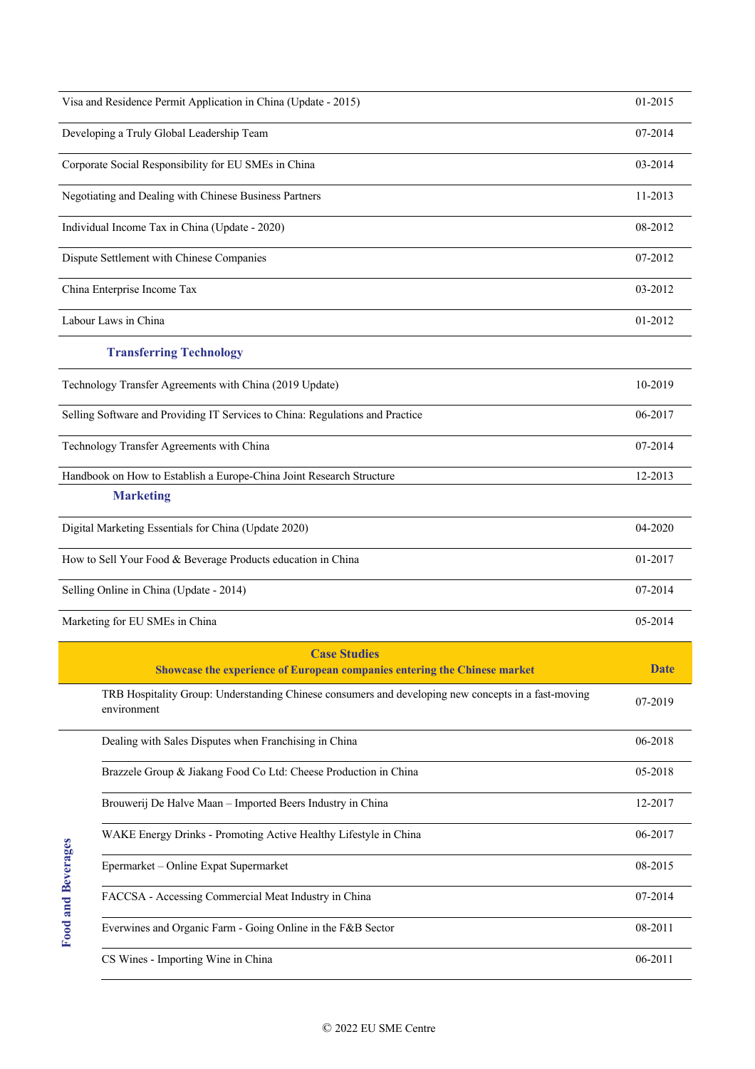| Visa and Residence Permit Application in China (Update - 2015)                | 01-2015 |
|-------------------------------------------------------------------------------|---------|
| Developing a Truly Global Leadership Team                                     | 07-2014 |
| Corporate Social Responsibility for EU SMEs in China                          | 03-2014 |
| Negotiating and Dealing with Chinese Business Partners                        | 11-2013 |
| Individual Income Tax in China (Update - 2020)                                | 08-2012 |
| Dispute Settlement with Chinese Companies                                     | 07-2012 |
| China Enterprise Income Tax                                                   | 03-2012 |
| Labour Laws in China                                                          | 01-2012 |
| <b>Transferring Technology</b>                                                |         |
| Technology Transfer Agreements with China (2019 Update)                       | 10-2019 |
| Selling Software and Providing IT Services to China: Regulations and Practice | 06-2017 |
| Technology Transfer Agreements with China                                     | 07-2014 |
| Handbook on How to Establish a Europe-China Joint Research Structure          | 12-2013 |
| <b>Marketing</b>                                                              |         |
| Digital Marketing Essentials for China (Update 2020)                          | 04-2020 |
| How to Sell Your Food & Beverage Products education in China                  | 01-2017 |
| Selling Online in China (Update - 2014)                                       | 07-2014 |
| Marketing for EU SMEs in China                                                | 05-2014 |
| <b>Case Studies</b>                                                           |         |

| <b>Showcase the experience of European companies entering the Chinese market</b>                                   | <b>Date</b> |
|--------------------------------------------------------------------------------------------------------------------|-------------|
| TRB Hospitality Group: Understanding Chinese consumers and developing new concepts in a fast-moving<br>environment | 07-2019     |
| Dealing with Sales Disputes when Franchising in China                                                              | 06-2018     |
| Brazzele Group & Jiakang Food Co Ltd: Cheese Production in China                                                   | 05-2018     |
| Brouwerij De Halve Maan – Imported Beers Industry in China                                                         | 12-2017     |
| WAKE Energy Drinks - Promoting Active Healthy Lifestyle in China                                                   | 06-2017     |
| Epermarket – Online Expat Supermarket                                                                              | 08-2015     |
| FACCSA - Accessing Commercial Meat Industry in China                                                               | 07-2014     |
| Everwines and Organic Farm - Going Online in the F&B Sector                                                        | 08-2011     |
| CS Wines - Importing Wine in China                                                                                 | 06-2011     |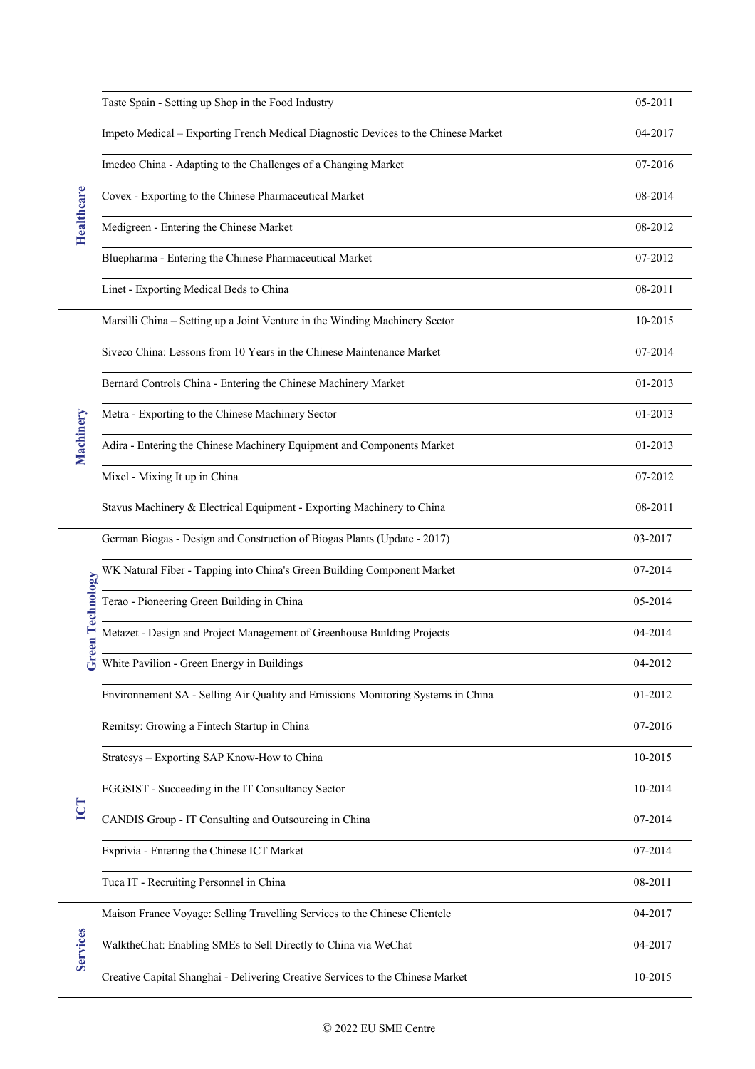|                   | Taste Spain - Setting up Shop in the Food Industry                                 | 05-2011 |
|-------------------|------------------------------------------------------------------------------------|---------|
|                   | Impeto Medical - Exporting French Medical Diagnostic Devices to the Chinese Market | 04-2017 |
|                   | Imedco China - Adapting to the Challenges of a Changing Market                     | 07-2016 |
|                   | Covex - Exporting to the Chinese Pharmaceutical Market                             | 08-2014 |
| <b>Healthcare</b> | Medigreen - Entering the Chinese Market                                            | 08-2012 |
|                   | Bluepharma - Entering the Chinese Pharmaceutical Market                            | 07-2012 |
|                   | Linet - Exporting Medical Beds to China                                            | 08-2011 |
|                   | Marsilli China - Setting up a Joint Venture in the Winding Machinery Sector        | 10-2015 |
|                   | Siveco China: Lessons from 10 Years in the Chinese Maintenance Market              | 07-2014 |
|                   | Bernard Controls China - Entering the Chinese Machinery Market                     | 01-2013 |
|                   | Metra - Exporting to the Chinese Machinery Sector                                  | 01-2013 |
| Machinery         | Adira - Entering the Chinese Machinery Equipment and Components Market             | 01-2013 |
|                   | Mixel - Mixing It up in China                                                      | 07-2012 |
|                   | Stavus Machinery & Electrical Equipment - Exporting Machinery to China             | 08-2011 |
|                   | German Biogas - Design and Construction of Biogas Plants (Update - 2017)           | 03-2017 |
|                   | WK Natural Fiber - Tapping into China's Green Building Component Market            | 07-2014 |
| een Technology    | Terao - Pioneering Green Building in China                                         | 05-2014 |
|                   | Metazet - Design and Project Management of Greenhouse Building Projects            | 04-2014 |
|                   | White Pavilion - Green Energy in Buildings                                         | 04-2012 |
|                   | Environnement SA - Selling Air Quality and Emissions Monitoring Systems in China   | 01-2012 |
|                   | Remitsy: Growing a Fintech Startup in China                                        | 07-2016 |
|                   | Stratesys - Exporting SAP Know-How to China                                        | 10-2015 |
|                   | EGGSIST - Succeeding in the IT Consultancy Sector                                  | 10-2014 |
| <b>ICT</b>        | CANDIS Group - IT Consulting and Outsourcing in China                              | 07-2014 |
|                   | Exprivia - Entering the Chinese ICT Market                                         | 07-2014 |
|                   | Tuca IT - Recruiting Personnel in China                                            | 08-2011 |
|                   | Maison France Voyage: Selling Travelling Services to the Chinese Clientele         | 04-2017 |
| <b>Services</b>   | WalktheChat: Enabling SMEs to Sell Directly to China via WeChat                    | 04-2017 |
|                   | Creative Capital Shanghai - Delivering Creative Services to the Chinese Market     | 10-2015 |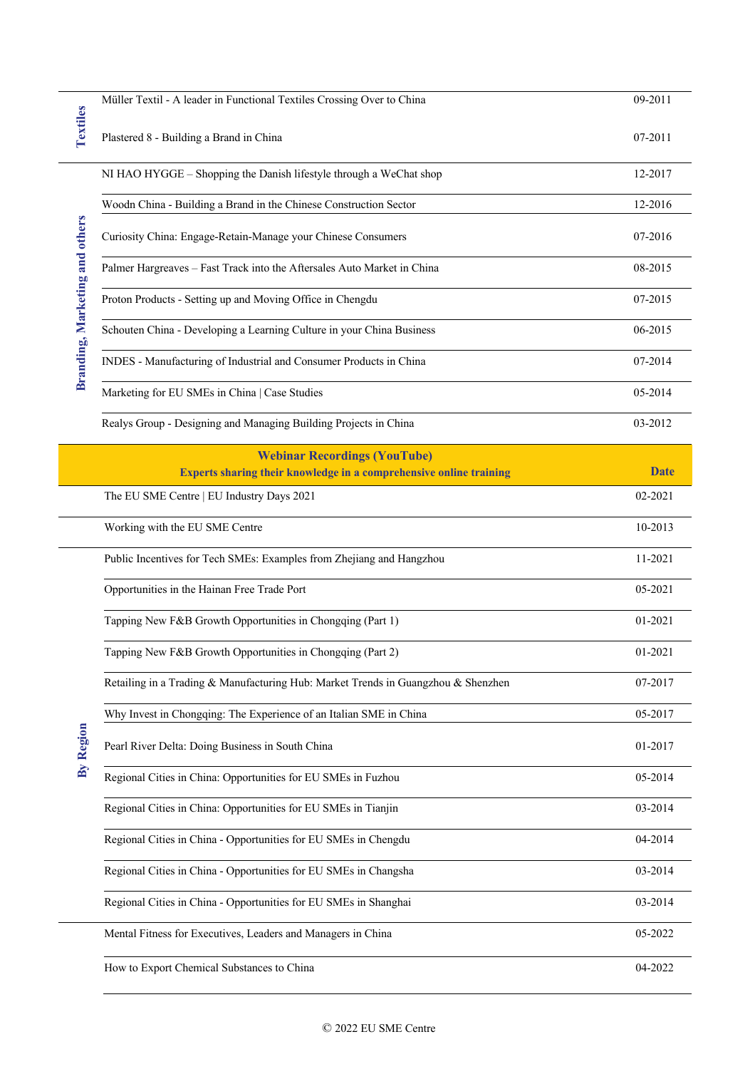| <b>Textiles</b>                | Müller Textil - A leader in Functional Textiles Crossing Over to China            | 09-2011     |
|--------------------------------|-----------------------------------------------------------------------------------|-------------|
|                                | Plastered 8 - Building a Brand in China                                           | 07-2011     |
| Branding, Marketing and others | NI HAO HYGGE - Shopping the Danish lifestyle through a WeChat shop                | 12-2017     |
|                                | Woodn China - Building a Brand in the Chinese Construction Sector                 | 12-2016     |
|                                | Curiosity China: Engage-Retain-Manage your Chinese Consumers                      | 07-2016     |
|                                | Palmer Hargreaves - Fast Track into the Aftersales Auto Market in China           | 08-2015     |
|                                | Proton Products - Setting up and Moving Office in Chengdu                         | 07-2015     |
|                                | Schouten China - Developing a Learning Culture in your China Business             | 06-2015     |
|                                | INDES - Manufacturing of Industrial and Consumer Products in China                | 07-2014     |
|                                | Marketing for EU SMEs in China   Case Studies                                     | 05-2014     |
|                                | Realys Group - Designing and Managing Building Projects in China                  | 03-2012     |
|                                | <b>Webinar Recordings (YouTube)</b>                                               |             |
|                                | Experts sharing their knowledge in a comprehensive online training                | <b>Date</b> |
|                                | The EU SME Centre   EU Industry Days 2021                                         | 02-2021     |
|                                | Working with the EU SME Centre                                                    | 10-2013     |
|                                | Public Incentives for Tech SMEs: Examples from Zhejiang and Hangzhou              | 11-2021     |
|                                | Opportunities in the Hainan Free Trade Port                                       | 05-2021     |
|                                | Tapping New F&B Growth Opportunities in Chongqing (Part 1)                        | 01-2021     |
|                                | Tapping New F&B Growth Opportunities in Chongqing (Part 2)                        | 01-2021     |
|                                | Retailing in a Trading & Manufacturing Hub: Market Trends in Guangzhou & Shenzhen | 07-2017     |
|                                | Why Invest in Chongqing: The Experience of an Italian SME in China                | 05-2017     |
| By Region                      | Pearl River Delta: Doing Business in South China                                  | 01-2017     |
|                                | Regional Cities in China: Opportunities for EU SMEs in Fuzhou                     | 05-2014     |
|                                | Regional Cities in China: Opportunities for EU SMEs in Tianjin                    | 03-2014     |
|                                | Regional Cities in China - Opportunities for EU SMEs in Chengdu                   | 04-2014     |
|                                | Regional Cities in China - Opportunities for EU SMEs in Changsha                  | 03-2014     |
|                                | Regional Cities in China - Opportunities for EU SMEs in Shanghai                  | 03-2014     |
|                                | Mental Fitness for Executives, Leaders and Managers in China                      | 05-2022     |
|                                | How to Export Chemical Substances to China                                        | 04-2022     |

 $\overline{a}$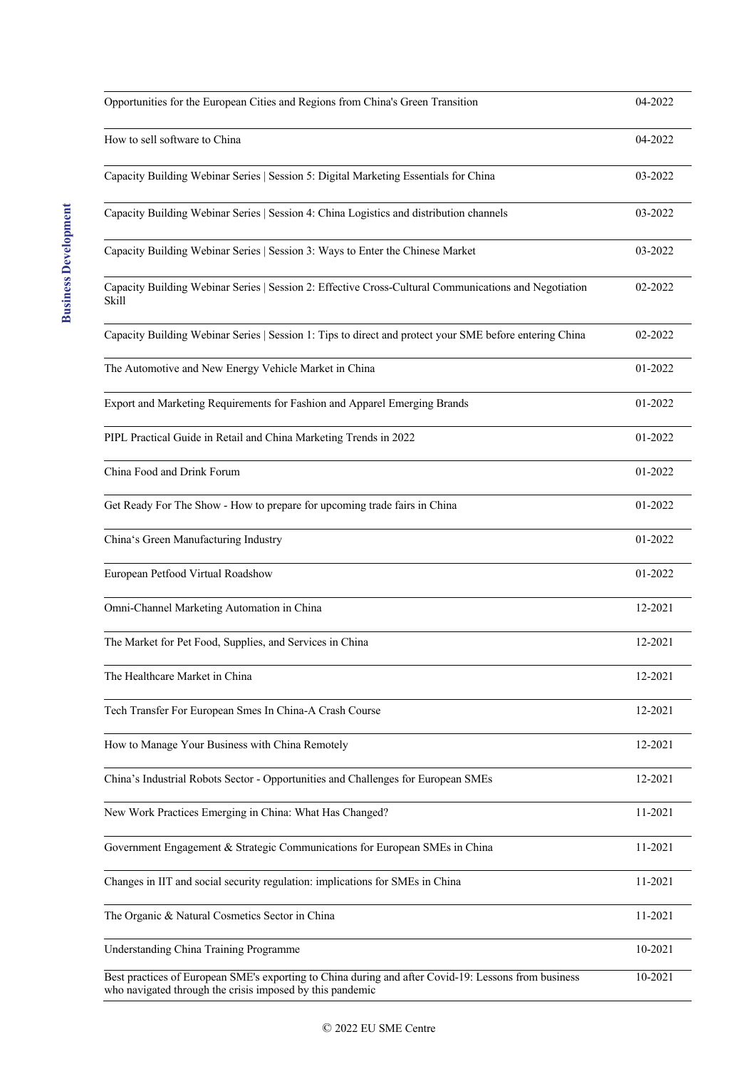| Opportunities for the European Cities and Regions from China's Green Transition                                                                                   | 04-2022 |
|-------------------------------------------------------------------------------------------------------------------------------------------------------------------|---------|
| How to sell software to China                                                                                                                                     | 04-2022 |
| Capacity Building Webinar Series   Session 5: Digital Marketing Essentials for China                                                                              | 03-2022 |
| Capacity Building Webinar Series   Session 4: China Logistics and distribution channels                                                                           | 03-2022 |
| Capacity Building Webinar Series   Session 3: Ways to Enter the Chinese Market                                                                                    | 03-2022 |
| Capacity Building Webinar Series   Session 2: Effective Cross-Cultural Communications and Negotiation<br>Skill                                                    | 02-2022 |
| Capacity Building Webinar Series   Session 1: Tips to direct and protect your SME before entering China                                                           | 02-2022 |
| The Automotive and New Energy Vehicle Market in China                                                                                                             | 01-2022 |
| Export and Marketing Requirements for Fashion and Apparel Emerging Brands                                                                                         | 01-2022 |
| PIPL Practical Guide in Retail and China Marketing Trends in 2022                                                                                                 | 01-2022 |
| China Food and Drink Forum                                                                                                                                        | 01-2022 |
| Get Ready For The Show - How to prepare for upcoming trade fairs in China                                                                                         | 01-2022 |
| China's Green Manufacturing Industry                                                                                                                              | 01-2022 |
| European Petfood Virtual Roadshow                                                                                                                                 | 01-2022 |
| Omni-Channel Marketing Automation in China                                                                                                                        | 12-2021 |
| The Market for Pet Food, Supplies, and Services in China                                                                                                          | 12-2021 |
| The Healthcare Market in China                                                                                                                                    | 12-2021 |
| Tech Transfer For European Smes In China-A Crash Course                                                                                                           | 12-2021 |
| How to Manage Your Business with China Remotely                                                                                                                   | 12-2021 |
| China's Industrial Robots Sector - Opportunities and Challenges for European SMEs                                                                                 | 12-2021 |
| New Work Practices Emerging in China: What Has Changed?                                                                                                           | 11-2021 |
| Government Engagement & Strategic Communications for European SMEs in China                                                                                       | 11-2021 |
| Changes in IIT and social security regulation: implications for SMEs in China                                                                                     | 11-2021 |
| The Organic & Natural Cosmetics Sector in China                                                                                                                   | 11-2021 |
| Understanding China Training Programme                                                                                                                            | 10-2021 |
| Best practices of European SME's exporting to China during and after Covid-19: Lessons from business<br>who navigated through the crisis imposed by this pandemic | 10-2021 |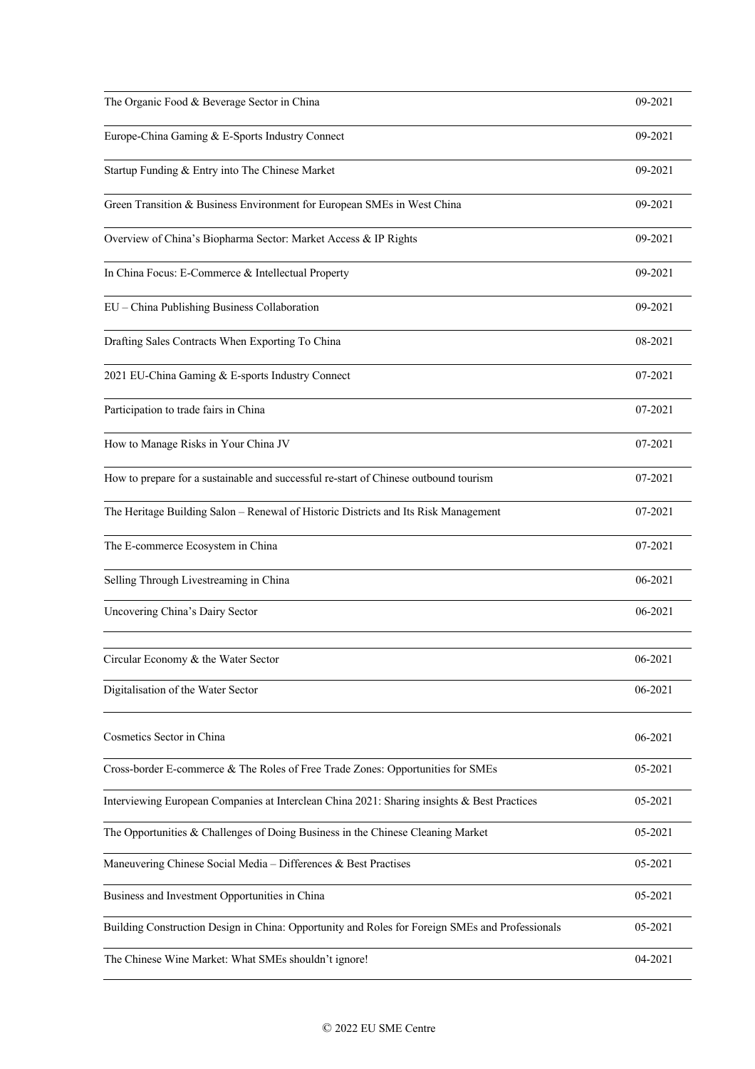| The Organic Food & Beverage Sector in China                                                     | 09-2021 |
|-------------------------------------------------------------------------------------------------|---------|
| Europe-China Gaming & E-Sports Industry Connect                                                 | 09-2021 |
| Startup Funding & Entry into The Chinese Market                                                 | 09-2021 |
| Green Transition & Business Environment for European SMEs in West China                         | 09-2021 |
| Overview of China's Biopharma Sector: Market Access & IP Rights                                 | 09-2021 |
| In China Focus: E-Commerce & Intellectual Property                                              | 09-2021 |
| EU - China Publishing Business Collaboration                                                    | 09-2021 |
| Drafting Sales Contracts When Exporting To China                                                | 08-2021 |
| 2021 EU-China Gaming & E-sports Industry Connect                                                | 07-2021 |
| Participation to trade fairs in China                                                           | 07-2021 |
| How to Manage Risks in Your China JV                                                            | 07-2021 |
| How to prepare for a sustainable and successful re-start of Chinese outbound tourism            | 07-2021 |
| The Heritage Building Salon - Renewal of Historic Districts and Its Risk Management             | 07-2021 |
| The E-commerce Ecosystem in China                                                               | 07-2021 |
| Selling Through Livestreaming in China                                                          | 06-2021 |
| Uncovering China's Dairy Sector                                                                 | 06-2021 |
| Circular Economy & the Water Sector                                                             | 06-2021 |
| Digitalisation of the Water Sector                                                              | 06-2021 |
| Cosmetics Sector in China                                                                       | 06-2021 |
| Cross-border E-commerce & The Roles of Free Trade Zones: Opportunities for SMEs                 | 05-2021 |
| Interviewing European Companies at Interclean China 2021: Sharing insights & Best Practices     | 05-2021 |
| The Opportunities & Challenges of Doing Business in the Chinese Cleaning Market                 | 05-2021 |
| Maneuvering Chinese Social Media - Differences & Best Practises                                 | 05-2021 |
| Business and Investment Opportunities in China                                                  | 05-2021 |
| Building Construction Design in China: Opportunity and Roles for Foreign SMEs and Professionals | 05-2021 |
| The Chinese Wine Market: What SMEs shouldn't ignore!                                            | 04-2021 |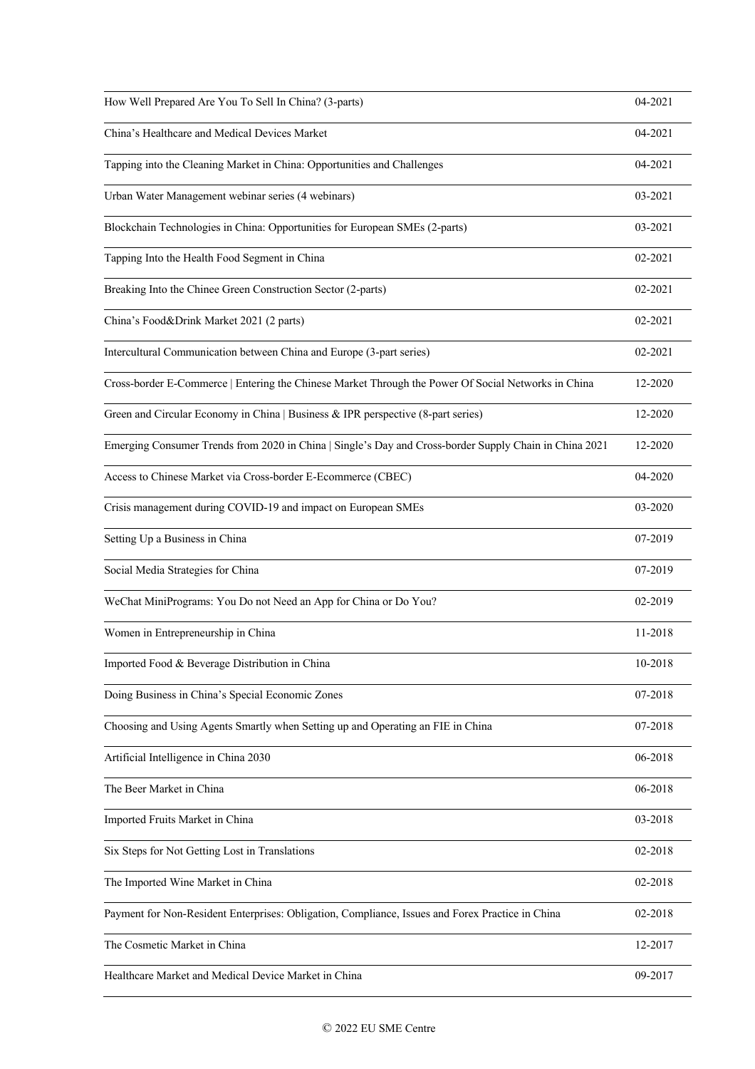| How Well Prepared Are You To Sell In China? (3-parts)                                                  | 04-2021 |
|--------------------------------------------------------------------------------------------------------|---------|
| China's Healthcare and Medical Devices Market                                                          | 04-2021 |
| Tapping into the Cleaning Market in China: Opportunities and Challenges                                | 04-2021 |
| Urban Water Management webinar series (4 webinars)                                                     | 03-2021 |
| Blockchain Technologies in China: Opportunities for European SMEs (2-parts)                            | 03-2021 |
| Tapping Into the Health Food Segment in China                                                          | 02-2021 |
| Breaking Into the Chinee Green Construction Sector (2-parts)                                           | 02-2021 |
| China's Food&Drink Market 2021 (2 parts)                                                               | 02-2021 |
| Intercultural Communication between China and Europe (3-part series)                                   | 02-2021 |
| Cross-border E-Commerce   Entering the Chinese Market Through the Power Of Social Networks in China    | 12-2020 |
| Green and Circular Economy in China   Business & IPR perspective (8-part series)                       | 12-2020 |
| Emerging Consumer Trends from 2020 in China   Single's Day and Cross-border Supply Chain in China 2021 | 12-2020 |
| Access to Chinese Market via Cross-border E-Ecommerce (CBEC)                                           | 04-2020 |
| Crisis management during COVID-19 and impact on European SMEs                                          | 03-2020 |
| Setting Up a Business in China                                                                         | 07-2019 |
| Social Media Strategies for China                                                                      | 07-2019 |
| WeChat MiniPrograms: You Do not Need an App for China or Do You?                                       | 02-2019 |
| Women in Entrepreneurship in China                                                                     | 11-2018 |
| Imported Food & Beverage Distribution in China                                                         | 10-2018 |
| Doing Business in China's Special Economic Zones                                                       | 07-2018 |
| Choosing and Using Agents Smartly when Setting up and Operating an FIE in China                        | 07-2018 |
| Artificial Intelligence in China 2030                                                                  | 06-2018 |
| The Beer Market in China                                                                               | 06-2018 |
| Imported Fruits Market in China                                                                        | 03-2018 |
| Six Steps for Not Getting Lost in Translations                                                         | 02-2018 |
| The Imported Wine Market in China                                                                      | 02-2018 |
| Payment for Non-Resident Enterprises: Obligation, Compliance, Issues and Forex Practice in China       | 02-2018 |
| The Cosmetic Market in China                                                                           | 12-2017 |
| Healthcare Market and Medical Device Market in China                                                   | 09-2017 |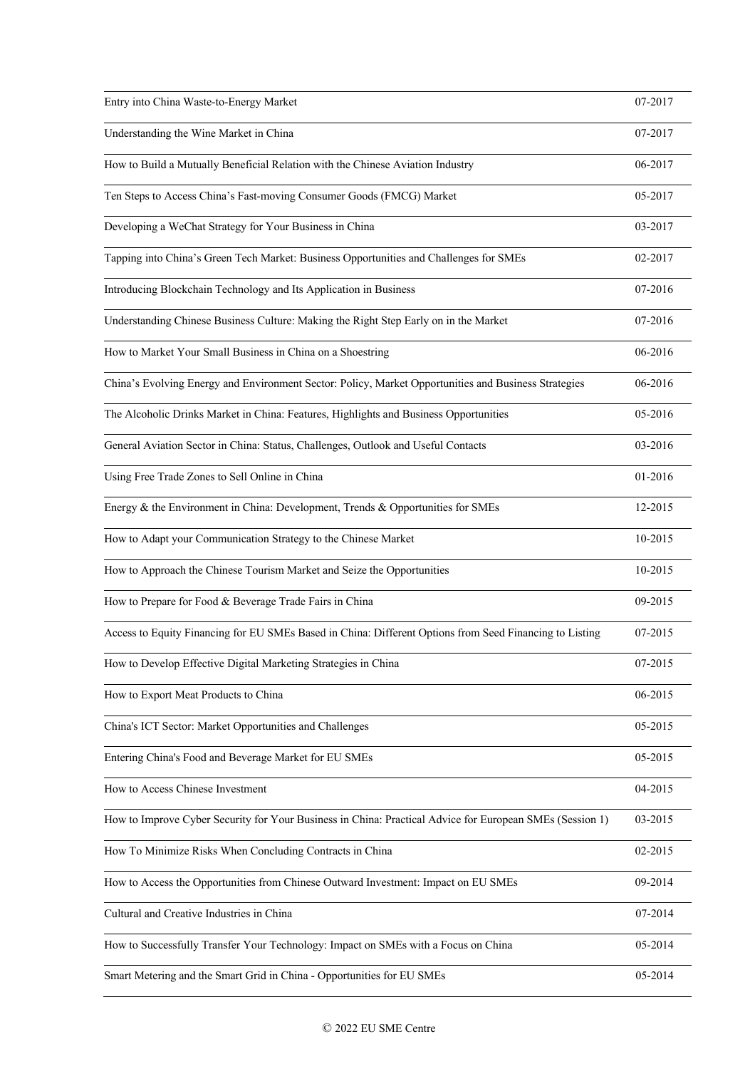| Entry into China Waste-to-Energy Market                                                                  | 07-2017 |
|----------------------------------------------------------------------------------------------------------|---------|
| Understanding the Wine Market in China                                                                   | 07-2017 |
| How to Build a Mutually Beneficial Relation with the Chinese Aviation Industry                           | 06-2017 |
| Ten Steps to Access China's Fast-moving Consumer Goods (FMCG) Market                                     | 05-2017 |
| Developing a WeChat Strategy for Your Business in China                                                  | 03-2017 |
| Tapping into China's Green Tech Market: Business Opportunities and Challenges for SMEs                   | 02-2017 |
| Introducing Blockchain Technology and Its Application in Business                                        | 07-2016 |
| Understanding Chinese Business Culture: Making the Right Step Early on in the Market                     | 07-2016 |
| How to Market Your Small Business in China on a Shoestring                                               | 06-2016 |
| China's Evolving Energy and Environment Sector: Policy, Market Opportunities and Business Strategies     | 06-2016 |
| The Alcoholic Drinks Market in China: Features, Highlights and Business Opportunities                    | 05-2016 |
| General Aviation Sector in China: Status, Challenges, Outlook and Useful Contacts                        | 03-2016 |
| Using Free Trade Zones to Sell Online in China                                                           | 01-2016 |
| Energy & the Environment in China: Development, Trends & Opportunities for SMEs                          | 12-2015 |
| How to Adapt your Communication Strategy to the Chinese Market                                           | 10-2015 |
| How to Approach the Chinese Tourism Market and Seize the Opportunities                                   | 10-2015 |
| How to Prepare for Food & Beverage Trade Fairs in China                                                  | 09-2015 |
| Access to Equity Financing for EU SMEs Based in China: Different Options from Seed Financing to Listing  | 07-2015 |
| How to Develop Effective Digital Marketing Strategies in China                                           | 07-2015 |
| How to Export Meat Products to China                                                                     | 06-2015 |
| China's ICT Sector: Market Opportunities and Challenges                                                  | 05-2015 |
| Entering China's Food and Beverage Market for EU SMEs                                                    | 05-2015 |
| How to Access Chinese Investment                                                                         | 04-2015 |
| How to Improve Cyber Security for Your Business in China: Practical Advice for European SMEs (Session 1) | 03-2015 |
| How To Minimize Risks When Concluding Contracts in China                                                 | 02-2015 |
| How to Access the Opportunities from Chinese Outward Investment: Impact on EU SMEs                       | 09-2014 |
| Cultural and Creative Industries in China                                                                | 07-2014 |
| How to Successfully Transfer Your Technology: Impact on SMEs with a Focus on China                       | 05-2014 |
| Smart Metering and the Smart Grid in China - Opportunities for EU SMEs                                   | 05-2014 |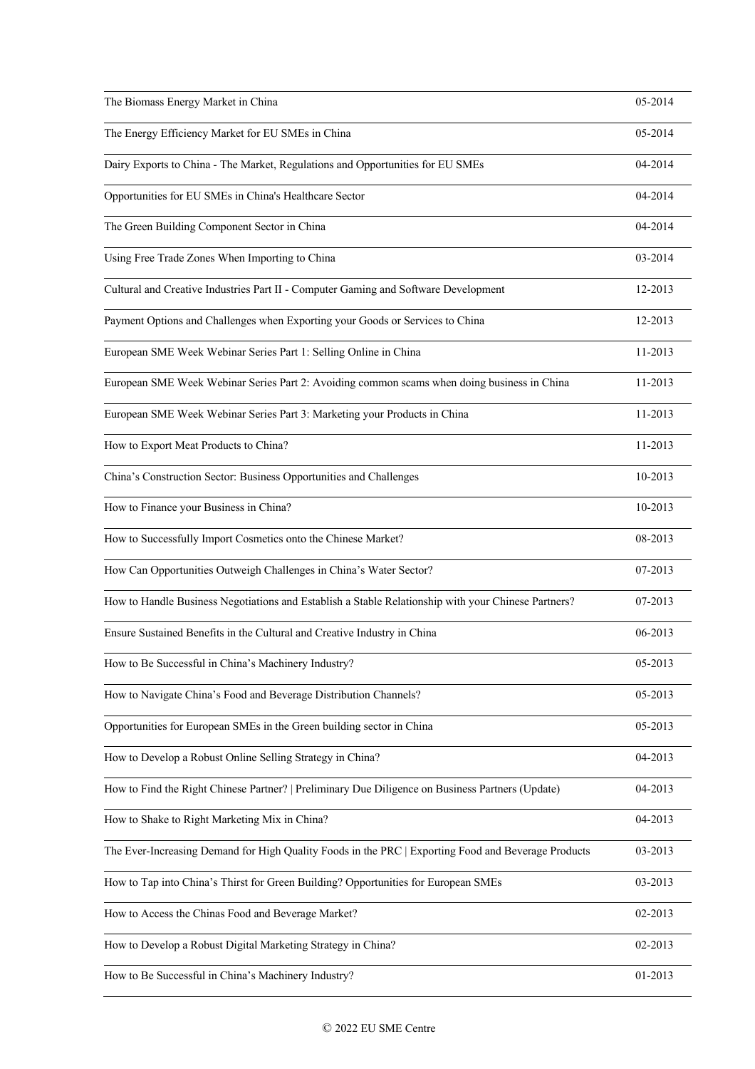| The Biomass Energy Market in China                                                                  | 05-2014 |
|-----------------------------------------------------------------------------------------------------|---------|
| The Energy Efficiency Market for EU SMEs in China                                                   | 05-2014 |
| Dairy Exports to China - The Market, Regulations and Opportunities for EU SMEs                      | 04-2014 |
| Opportunities for EU SMEs in China's Healthcare Sector                                              | 04-2014 |
| The Green Building Component Sector in China                                                        | 04-2014 |
| Using Free Trade Zones When Importing to China                                                      | 03-2014 |
| Cultural and Creative Industries Part II - Computer Gaming and Software Development                 | 12-2013 |
| Payment Options and Challenges when Exporting your Goods or Services to China                       | 12-2013 |
| European SME Week Webinar Series Part 1: Selling Online in China                                    | 11-2013 |
| European SME Week Webinar Series Part 2: Avoiding common scams when doing business in China         | 11-2013 |
| European SME Week Webinar Series Part 3: Marketing your Products in China                           | 11-2013 |
| How to Export Meat Products to China?                                                               | 11-2013 |
| China's Construction Sector: Business Opportunities and Challenges                                  | 10-2013 |
| How to Finance your Business in China?                                                              | 10-2013 |
| How to Successfully Import Cosmetics onto the Chinese Market?                                       | 08-2013 |
| How Can Opportunities Outweigh Challenges in China's Water Sector?                                  | 07-2013 |
| How to Handle Business Negotiations and Establish a Stable Relationship with your Chinese Partners? | 07-2013 |
| Ensure Sustained Benefits in the Cultural and Creative Industry in China                            | 06-2013 |
| How to Be Successful in China's Machinery Industry?                                                 | 05-2013 |
| How to Navigate China's Food and Beverage Distribution Channels?                                    | 05-2013 |
| Opportunities for European SMEs in the Green building sector in China                               | 05-2013 |
| How to Develop a Robust Online Selling Strategy in China?                                           | 04-2013 |
| How to Find the Right Chinese Partner?   Preliminary Due Diligence on Business Partners (Update)    | 04-2013 |
| How to Shake to Right Marketing Mix in China?                                                       | 04-2013 |
| The Ever-Increasing Demand for High Quality Foods in the PRC   Exporting Food and Beverage Products | 03-2013 |
| How to Tap into China's Thirst for Green Building? Opportunities for European SMEs                  | 03-2013 |
| How to Access the Chinas Food and Beverage Market?                                                  | 02-2013 |
| How to Develop a Robust Digital Marketing Strategy in China?                                        | 02-2013 |
| How to Be Successful in China's Machinery Industry?                                                 | 01-2013 |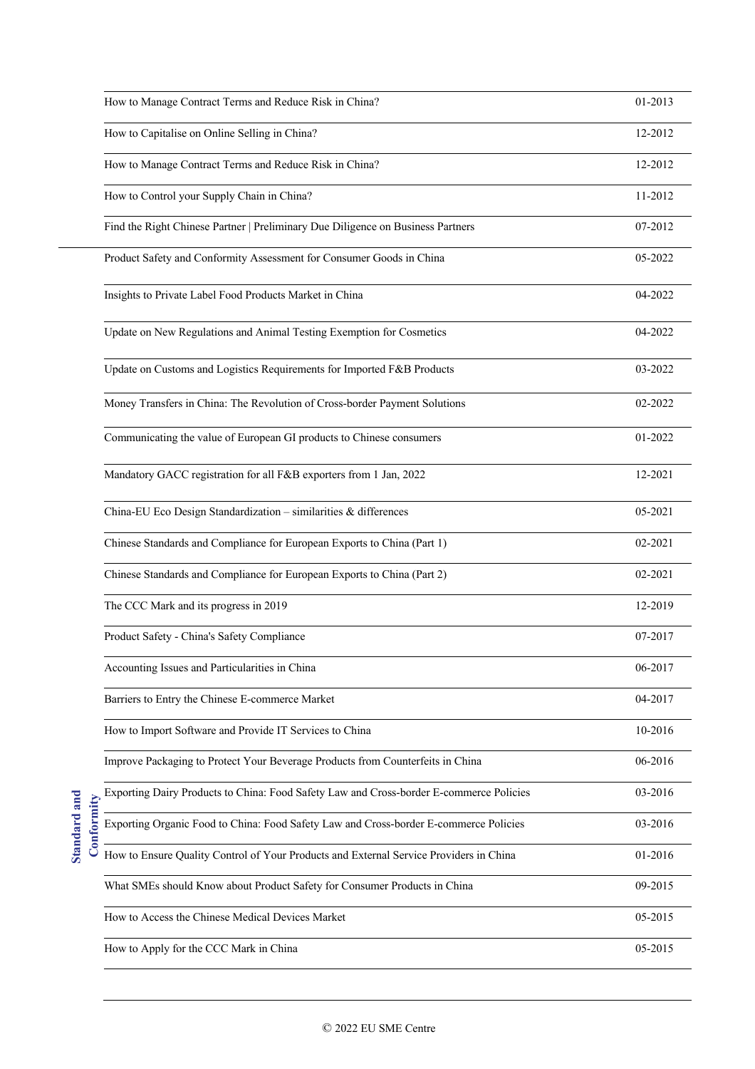|           | How to Manage Contract Terms and Reduce Risk in China?                                  | 01-2013 |
|-----------|-----------------------------------------------------------------------------------------|---------|
|           | How to Capitalise on Online Selling in China?                                           | 12-2012 |
|           | How to Manage Contract Terms and Reduce Risk in China?                                  | 12-2012 |
|           | How to Control your Supply Chain in China?                                              | 11-2012 |
|           | Find the Right Chinese Partner   Preliminary Due Diligence on Business Partners         | 07-2012 |
|           | Product Safety and Conformity Assessment for Consumer Goods in China                    | 05-2022 |
|           | Insights to Private Label Food Products Market in China                                 | 04-2022 |
|           | Update on New Regulations and Animal Testing Exemption for Cosmetics                    | 04-2022 |
|           | Update on Customs and Logistics Requirements for Imported F&B Products                  | 03-2022 |
|           | Money Transfers in China: The Revolution of Cross-border Payment Solutions              | 02-2022 |
|           | Communicating the value of European GI products to Chinese consumers                    | 01-2022 |
|           | Mandatory GACC registration for all F&B exporters from 1 Jan, 2022                      | 12-2021 |
|           | China-EU Eco Design Standardization - similarities & differences                        | 05-2021 |
|           | Chinese Standards and Compliance for European Exports to China (Part 1)                 | 02-2021 |
|           | Chinese Standards and Compliance for European Exports to China (Part 2)                 | 02-2021 |
|           | The CCC Mark and its progress in 2019                                                   | 12-2019 |
|           | Product Safety - China's Safety Compliance                                              | 07-2017 |
|           | Accounting Issues and Particularities in China                                          | 06-2017 |
|           | Barriers to Entry the Chinese E-commerce Market                                         | 04-2017 |
|           | How to Import Software and Provide IT Services to China                                 | 10-2016 |
|           | Improve Packaging to Protect Your Beverage Products from Counterfeits in China          | 06-2016 |
|           | Exporting Dairy Products to China: Food Safety Law and Cross-border E-commerce Policies | 03-2016 |
| onformity | Exporting Organic Food to China: Food Safety Law and Cross-border E-commerce Policies   | 03-2016 |
|           | How to Ensure Quality Control of Your Products and External Service Providers in China  | 01-2016 |
|           | What SMEs should Know about Product Safety for Consumer Products in China               | 09-2015 |
|           | How to Access the Chinese Medical Devices Market                                        | 05-2015 |
|           | How to Apply for the CCC Mark in China                                                  | 05-2015 |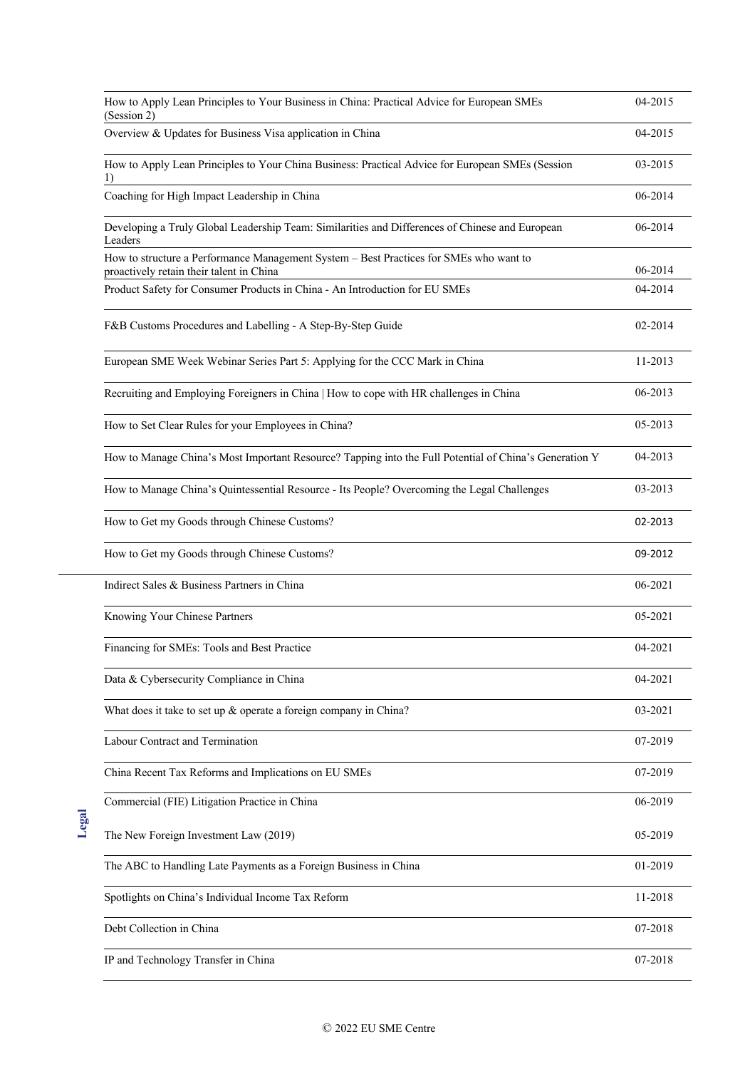| How to Apply Lean Principles to Your Business in China: Practical Advice for European SMEs<br>(Session 2)                          | 04-2015 |
|------------------------------------------------------------------------------------------------------------------------------------|---------|
| Overview & Updates for Business Visa application in China                                                                          | 04-2015 |
| How to Apply Lean Principles to Your China Business: Practical Advice for European SMEs (Session<br>1)                             | 03-2015 |
| Coaching for High Impact Leadership in China                                                                                       | 06-2014 |
| Developing a Truly Global Leadership Team: Similarities and Differences of Chinese and European<br>Leaders                         | 06-2014 |
| How to structure a Performance Management System - Best Practices for SMEs who want to<br>proactively retain their talent in China | 06-2014 |
| Product Safety for Consumer Products in China - An Introduction for EU SMEs                                                        | 04-2014 |
| F&B Customs Procedures and Labelling - A Step-By-Step Guide                                                                        | 02-2014 |
| European SME Week Webinar Series Part 5: Applying for the CCC Mark in China                                                        | 11-2013 |
| Recruiting and Employing Foreigners in China   How to cope with HR challenges in China                                             | 06-2013 |
| How to Set Clear Rules for your Employees in China?                                                                                | 05-2013 |
| How to Manage China's Most Important Resource? Tapping into the Full Potential of China's Generation Y                             | 04-2013 |
| How to Manage China's Quintessential Resource - Its People? Overcoming the Legal Challenges                                        | 03-2013 |
| How to Get my Goods through Chinese Customs?                                                                                       | 02-2013 |
| How to Get my Goods through Chinese Customs?                                                                                       | 09-2012 |
| Indirect Sales & Business Partners in China                                                                                        | 06-2021 |
| Knowing Your Chinese Partners                                                                                                      | 05-2021 |
| Financing for SMEs: Tools and Best Practice                                                                                        | 04-2021 |
| Data & Cybersecurity Compliance in China                                                                                           | 04-2021 |
| What does it take to set up $\&$ operate a foreign company in China?                                                               | 03-2021 |
| Labour Contract and Termination                                                                                                    | 07-2019 |
| China Recent Tax Reforms and Implications on EU SMEs                                                                               | 07-2019 |
| Commercial (FIE) Litigation Practice in China                                                                                      | 06-2019 |
| The New Foreign Investment Law (2019)                                                                                              | 05-2019 |
| The ABC to Handling Late Payments as a Foreign Business in China                                                                   | 01-2019 |
| Spotlights on China's Individual Income Tax Reform                                                                                 | 11-2018 |
| Debt Collection in China                                                                                                           | 07-2018 |
| IP and Technology Transfer in China                                                                                                | 07-2018 |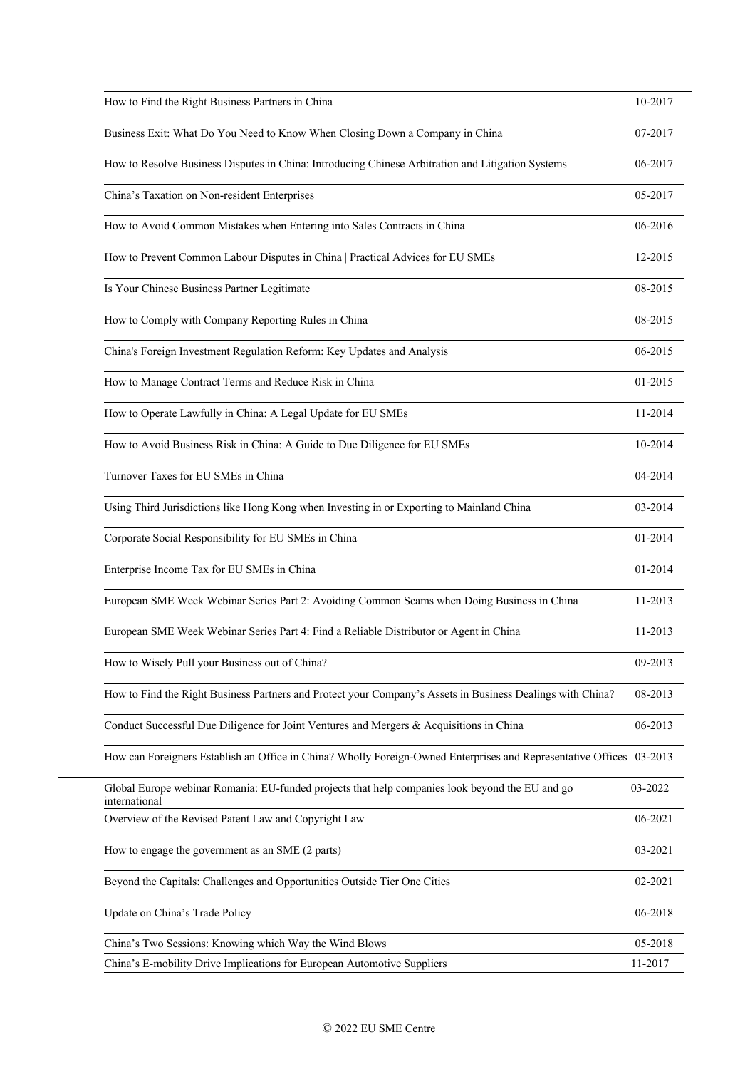| How to Find the Right Business Partners in China                                                                     | 10-2017 |
|----------------------------------------------------------------------------------------------------------------------|---------|
| Business Exit: What Do You Need to Know When Closing Down a Company in China                                         | 07-2017 |
| How to Resolve Business Disputes in China: Introducing Chinese Arbitration and Litigation Systems                    | 06-2017 |
| China's Taxation on Non-resident Enterprises                                                                         | 05-2017 |
| How to Avoid Common Mistakes when Entering into Sales Contracts in China                                             | 06-2016 |
| How to Prevent Common Labour Disputes in China   Practical Advices for EU SMEs                                       | 12-2015 |
| Is Your Chinese Business Partner Legitimate                                                                          | 08-2015 |
| How to Comply with Company Reporting Rules in China                                                                  | 08-2015 |
| China's Foreign Investment Regulation Reform: Key Updates and Analysis                                               | 06-2015 |
| How to Manage Contract Terms and Reduce Risk in China                                                                | 01-2015 |
| How to Operate Lawfully in China: A Legal Update for EU SMEs                                                         | 11-2014 |
| How to Avoid Business Risk in China: A Guide to Due Diligence for EU SMEs                                            | 10-2014 |
| Turnover Taxes for EU SMEs in China                                                                                  | 04-2014 |
| Using Third Jurisdictions like Hong Kong when Investing in or Exporting to Mainland China                            | 03-2014 |
| Corporate Social Responsibility for EU SMEs in China                                                                 | 01-2014 |
| Enterprise Income Tax for EU SMEs in China                                                                           | 01-2014 |
| European SME Week Webinar Series Part 2: Avoiding Common Scams when Doing Business in China                          | 11-2013 |
| European SME Week Webinar Series Part 4: Find a Reliable Distributor or Agent in China                               | 11-2013 |
| How to Wisely Pull your Business out of China?                                                                       | 09-2013 |
| How to Find the Right Business Partners and Protect your Company's Assets in Business Dealings with China?           | 08-2013 |
| Conduct Successful Due Diligence for Joint Ventures and Mergers & Acquisitions in China                              | 06-2013 |
| How can Foreigners Establish an Office in China? Wholly Foreign-Owned Enterprises and Representative Offices 03-2013 |         |
| Global Europe webinar Romania: EU-funded projects that help companies look beyond the EU and go<br>international     | 03-2022 |
| Overview of the Revised Patent Law and Copyright Law                                                                 | 06-2021 |
| How to engage the government as an SME (2 parts)                                                                     | 03-2021 |
| Beyond the Capitals: Challenges and Opportunities Outside Tier One Cities                                            | 02-2021 |
| Update on China's Trade Policy                                                                                       | 06-2018 |
| China's Two Sessions: Knowing which Way the Wind Blows                                                               | 05-2018 |
| China's E-mobility Drive Implications for European Automotive Suppliers                                              | 11-2017 |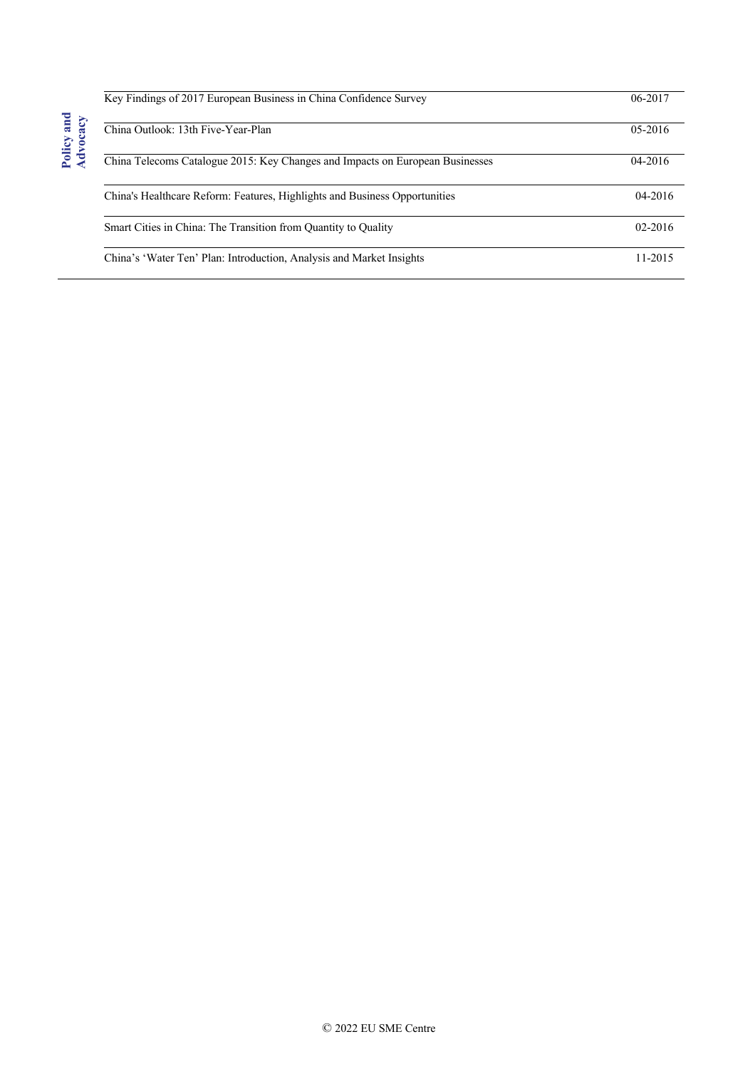| Key Findings of 2017 European Business in China Confidence Survey             | 06-2017     |
|-------------------------------------------------------------------------------|-------------|
| China Outlook: 13th Five-Year-Plan                                            | $05 - 2016$ |
| China Telecoms Catalogue 2015: Key Changes and Impacts on European Businesses | $04 - 2016$ |
| China's Healthcare Reform: Features, Highlights and Business Opportunities    | $04 - 2016$ |
| Smart Cities in China: The Transition from Quantity to Quality                | 02-2016     |
| China's 'Water Ten' Plan: Introduction, Analysis and Market Insights          | 11-2015     |